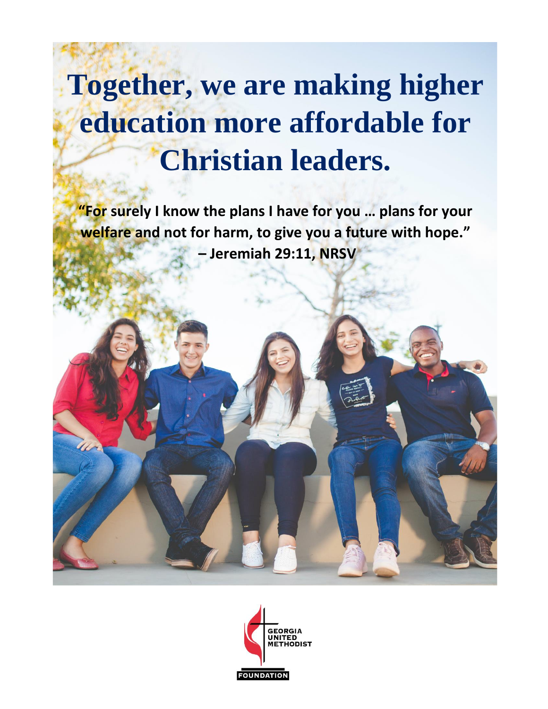# **Together, we are making higher education more affordable for Christian leaders.**

**"For surely I know the plans I have for you … plans for your welfare and not for harm, to give you a future with hope." – Jeremiah 29:11, NRSV**



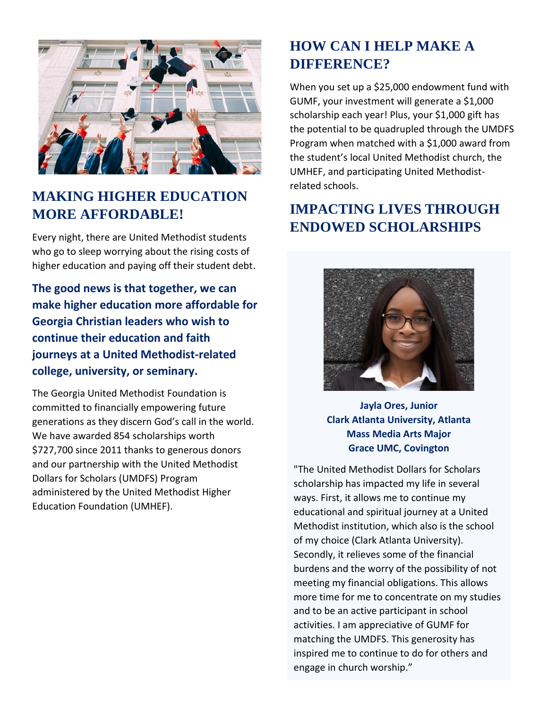

# **MAKING HIGHER EDUCATION MORE AFFORDABLE!**

Every night, there are United Methodist students who go to sleep worrying about the rising costs of higher education and paying off their student debt.

**The good news is that together, we can make higher education more affordable for Georgia Christian leaders who wish to continue their education and faith journeys at a United Methodist-related college, university, or seminary.**

The Georgia United Methodist Foundation is committed to financially empowering future generations as they discern God's call in the world. We have awarded 854 scholarships worth \$727,700 since 2011 thanks to generous donors and our partnership with the United Methodist Dollars for Scholars (UMDFS) Program administered by the United Methodist Higher Education Foundation (UMHEF).

# **HOW CAN I HELP MAKE A DIFFERENCE?**

When you set up a \$25,000 endowment fund with GUMF, your investment will generate a \$1,000 scholarship each year! Plus, your \$1,000 gift has the potential to be quadrupled through the UMDFS Program when matched with a \$1,000 award from the student's local United Methodist church, the UMHEF, and participating United Methodistrelated schools.

# **IMPACTING LIVES THROUGH ENDOWED SCHOLARSHIPS**



**Jayla Ores, Junior Clark Atlanta University, Atlanta Mass Media Arts Major Grace UMC, Covington**

"The United Methodist Dollars for Scholars scholarship has impacted my life in several ways. First, it allows me to continue my educational and spiritual journey at a United Methodist institution, which also is the school of my choice (Clark Atlanta University). Secondly, it relieves some of the financial burdens and the worry of the possibility of not meeting my financial obligations. This allows more time for me to concentrate on my studies and to be an active participant in school activities. I am appreciative of GUMF for matching the UMDFS. This generosity has inspired me to continue to do for others and engage in church worship."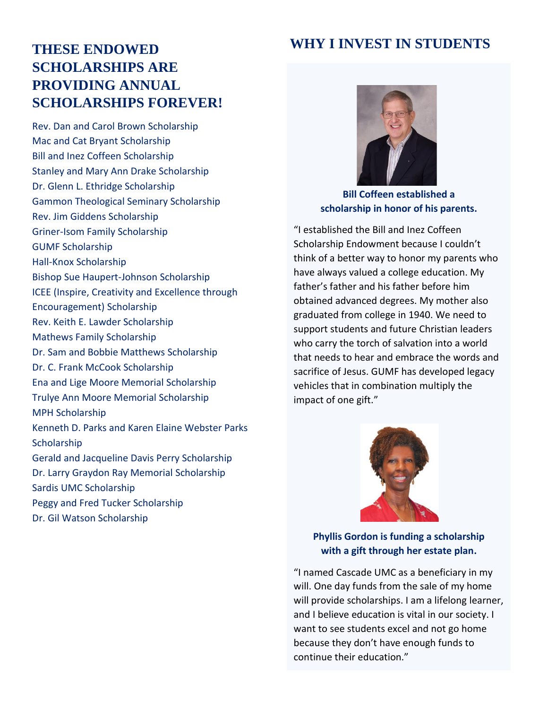## **WHY I INVEST IN STUDENTS**

## **THESE ENDOWED SCHOLARSHIPS ARE PROVIDING ANNUAL SCHOLARSHIPS FOREVER!**

Rev. Dan and Carol Brown Scholarship Mac and Cat Bryant Scholarship Bill and Inez Coffeen Scholarship Stanley and Mary Ann Drake Scholarship Dr. Glenn L. Ethridge Scholarship Gammon Theological Seminary Scholarship Rev. Jim Giddens Scholarship Griner-Isom Family Scholarship GUMF Scholarship Hall-Knox Scholarship Bishop Sue Haupert-Johnson Scholarship ICEE (Inspire, Creativity and Excellence through Encouragement) Scholarship Rev. Keith E. Lawder Scholarship Mathews Family Scholarship Dr. Sam and Bobbie Matthews Scholarship Dr. C. Frank McCook Scholarship Ena and Lige Moore Memorial Scholarship Trulye Ann Moore Memorial Scholarship MPH Scholarship Kenneth D. Parks and Karen Elaine Webster Parks **Scholarship** Gerald and Jacqueline Davis Perry Scholarship Dr. Larry Graydon Ray Memorial Scholarship Sardis UMC Scholarship Peggy and Fred Tucker Scholarship Dr. Gil Watson Scholarship



**Bill Coffeen established a scholarship in honor of his parents.**

"I established the Bill and Inez Coffeen Scholarship Endowment because I couldn't think of a better way to honor my parents who have always valued a college education. My father's father and his father before him obtained advanced degrees. My mother also graduated from college in 1940. We need to support students and future Christian leaders who carry the torch of salvation into a world that needs to hear and embrace the words and sacrifice of Jesus. GUMF has developed legacy vehicles that in combination multiply the impact of one gift."



**Phyllis Gordon is funding a scholarship with a gift through her estate plan.**

"I named Cascade UMC as a beneficiary in my will. One day funds from the sale of my home will provide scholarships. I am a lifelong learner, and I believe education is vital in our society. I want to see students excel and not go home because they don't have enough funds to continue their education."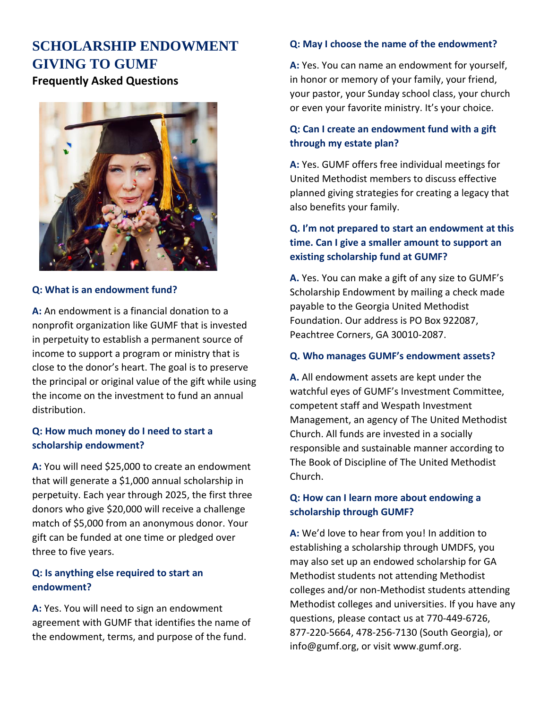# **SCHOLARSHIP ENDOWMENT GIVING TO GUMF**

#### **Frequently Asked Questions**



#### **Q: What is an endowment fund?**

**A:** An endowment is a financial donation to a nonprofit organization like GUMF that is invested in perpetuity to establish a permanent source of income to support a program or ministry that is close to the donor's heart. The goal is to preserve the principal or original value of the gift while using the income on the investment to fund an annual distribution.

#### **Q: How much money do I need to start a scholarship endowment?**

**A:** You will need \$25,000 to create an endowment that will generate a \$1,000 annual scholarship in perpetuity. Each year through 2025, the first three donors who give \$20,000 will receive a challenge match of \$5,000 from an anonymous donor. Your gift can be funded at one time or pledged over three to five years.

#### **Q: Is anything else required to start an endowment?**

**A:** Yes. You will need to sign an endowment agreement with GUMF that identifies the name of the endowment, terms, and purpose of the fund.

#### **Q: May I choose the name of the endowment?**

**A:** Yes. You can name an endowment for yourself, in honor or memory of your family, your friend, your pastor, your Sunday school class, your church or even your favorite ministry. It's your choice.

#### **Q: Can I create an endowment fund with a gift through my estate plan?**

**A:** Yes. GUMF offers free individual meetings for United Methodist members to discuss effective planned giving strategies for creating a legacy that also benefits your family.

## **Q. I'm not prepared to start an endowment at this time. Can I give a smaller amount to support an existing scholarship fund at GUMF?**

**A.** Yes. You can make a gift of any size to GUMF's Scholarship Endowment by mailing a check made payable to the Georgia United Methodist Foundation. Our address is PO Box 922087, Peachtree Corners, GA 30010-2087.

#### **Q. Who manages GUMF's endowment assets?**

**A.** All endowment assets are kept under the watchful eyes of GUMF's Investment Committee, competent staff and Wespath Investment Management, an agency of The United Methodist Church. All funds are invested in a socially responsible and sustainable manner according to The Book of Discipline of The United Methodist Church.

#### **Q: How can I learn more about endowing a scholarship through GUMF?**

**A:** We'd love to hear from you! In addition to establishing a scholarship through UMDFS, you may also set up an endowed scholarship for GA Methodist students not attending Methodist colleges and/or non-Methodist students attending Methodist colleges and universities. If you have any questions, please contact us at 770-449-6726, 877-220-5664, 478-256-7130 (South Georgia), or [info@gumf.org,](mailto:info@gumf.org) or visit www.gumf.org.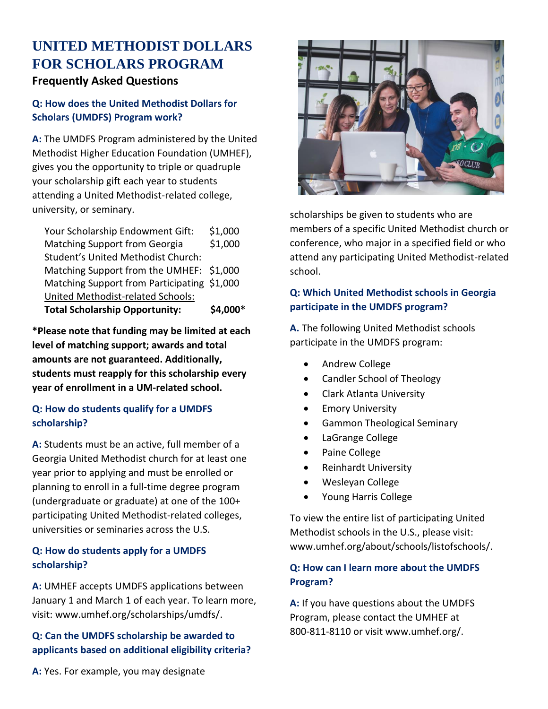## **UNITED METHODIST DOLLARS FOR SCHOLARS PROGRAM Frequently Asked Questions**

## **Q: How does the United Methodist Dollars for Scholars (UMDFS) Program work?**

**A:** The UMDFS Program administered by the United Methodist Higher Education Foundation (UMHEF), gives you the opportunity to triple or quadruple your scholarship gift each year to students attending a United Methodist-related college, university, or seminary.

| Matching Support from Participating \$1,000 |        |
|---------------------------------------------|--------|
| United Methodist-related Schools:           |        |
| <b>Total Scholarship Opportunity:</b>       | \$4.00 |
|                                             |        |

**\*Please note that funding may be limited at each level of matching support; awards and total amounts are not guaranteed. Additionally, students must reapply for this scholarship every year of enrollment in a UM-related school.**

## **Q: How do students qualify for a UMDFS scholarship?**

**A:** Students must be an active, full member of a Georgia United Methodist church for at least one year prior to applying and must be enrolled or planning to enroll in a full-time degree program (undergraduate or graduate) at one of the 100+ participating United Methodist-related colleges, universities or seminaries across the U.S.

#### **Q: How do students apply for a UMDFS scholarship?**

**A:** UMHEF accepts UMDFS applications between January 1 and March 1 of each year. To learn more, visit: [www.umhef.org/scholarships/umdfs/.](http://www.umhef.org/scholarships/umdfs/)

## **Q: Can the UMDFS scholarship be awarded to applicants based on additional eligibility criteria?**



scholarships be given to students who are members of a specific United Methodist church or conference, who major in a specified field or who attend any participating United Methodist-related school.

#### **Q: Which United Methodist schools in Georgia participate in the UMDFS program?**

**A.** The following United Methodist schools participate in the UMDFS program:

- Andrew College
- Candler School of Theology
- Clark Atlanta University
- Emory University
- Gammon Theological Seminary
- LaGrange College
- Paine College
- Reinhardt University
- Wesleyan College
- Young Harris College

To view the entire list of participating United Methodist schools in the U.S., please visit: [www.umhef.org/about/schools/listofschools/.](http://www.umhef.org/about/schools/listofschools/)

## **Q: How can I learn more about the UMDFS Program?**

**A:** If you have questions about the UMDFS Program, please contact the UMHEF at 800-811-8110 or visit [www.umhef.org/.](http://www.umhef.org/scholarships/umdfs/)